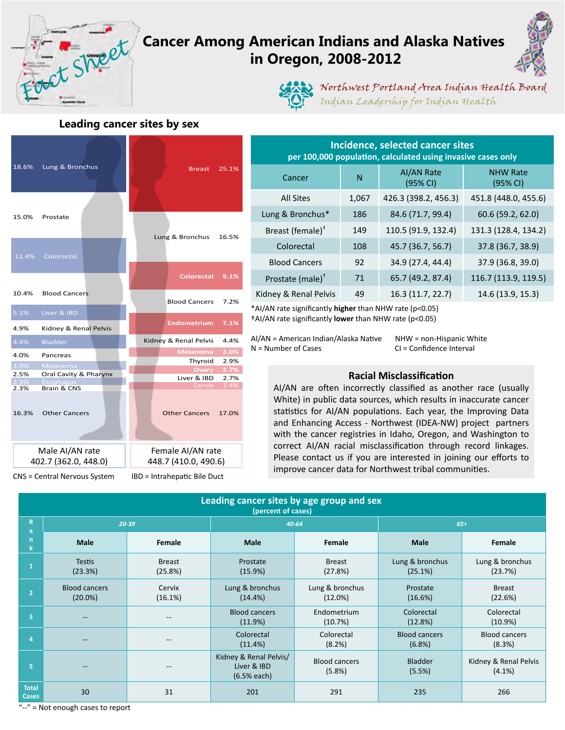

# **Cancer Among American Indians and Alaska Natives in Oregon, 2008-2012**





Northwest Portland Area Indian Health Board Indian Leadership for Indian Health

# **Leading cancer sites by sex**

| 18.6%                | Lung & Bronchus                 |                      |                   |  | <b>Breast</b> 25.1%   |                           |
|----------------------|---------------------------------|----------------------|-------------------|--|-----------------------|---------------------------|
| 15.0%                | Prostate                        |                      |                   |  | Lung & Bronchus       | 16.5%                     |
|                      | 11.4% Colorectal                |                      |                   |  |                       |                           |
|                      |                                 |                      |                   |  | <b>Colorectal</b>     | 9.1%                      |
| 10.4%                | <b>Blood Cancers</b>            |                      |                   |  | <b>Blood Cancers</b>  | 7.2%                      |
| 5.1%                 | Liver & IBD                     |                      |                   |  | <b>Endometrium</b>    | 7.1%                      |
| 4.9%                 | Kidney & Renal Pelvis           |                      |                   |  |                       |                           |
| 4.4%                 | <b>Bladder</b>                  |                      |                   |  | Kidney & Renal Pelvis | 4.4%                      |
| 4.0%                 | Pancreas                        |                      |                   |  | <b>Melanoma</b>       | 3.0%                      |
| 3.0%                 | Melanoma                        |                      |                   |  | Thyroid               | 2.9%<br><b>Ovary 2.7%</b> |
| 2.5%                 | Oral Cavity & Pharynx           |                      |                   |  | Liver & IBD           | 2.7%                      |
| $2.3\%$<br>2.3%      | <b>Esophagus</b><br>Brain & CNS |                      |                   |  | Cervix                | 2.4%                      |
| 16.3%                | <b>Other Cancers</b>            |                      |                   |  | <b>Other Cancers</b>  | 17.0%                     |
| Male AI/AN rate      |                                 |                      | Female AI/AN rate |  |                       |                           |
| 402.7 (362.0, 448.0) |                                 | 448.7 (410.0, 490.6) |                   |  |                       |                           |

CNS = Central Nervous System IBD = Intrahepatic Bile Duct

| Incidence, selected cancer sites<br>per 100,000 population, calculated using invasive cases only |                                    |                      |                             |  |  |
|--------------------------------------------------------------------------------------------------|------------------------------------|----------------------|-----------------------------|--|--|
| Cancer                                                                                           | <b>AI/AN Rate</b><br>N<br>(95% CI) |                      | <b>NHW Rate</b><br>(95% CI) |  |  |
| All Sites                                                                                        | 1,067                              | 426.3 (398.2, 456.3) | 451.8 (448.0, 455.6)        |  |  |
| Lung & Bronchus*                                                                                 | 186                                | 84.6 (71.7, 99.4)    | 60.6 (59.2, 62.0)           |  |  |
| Breast (female) <sup>†</sup>                                                                     | 149                                | 110.5 (91.9, 132.4)  | 131.3 (128.4, 134.2)        |  |  |
| Colorectal                                                                                       | 108                                | 45.7 (36.7, 56.7)    | 37.8 (36.7, 38.9)           |  |  |
| <b>Blood Cancers</b>                                                                             | 92                                 | 34.9 (27.4, 44.4)    | 37.9 (36.8, 39.0)           |  |  |
| Prostate (male) <sup>†</sup>                                                                     | 71                                 | 65.7 (49.2, 87.4)    | 116.7 (113.9, 119.5)        |  |  |
| Kidney & Renal Pelvis                                                                            | 49                                 | 16.3 (11.7, 22.7)    | 14.6 (13.9, 15.3)           |  |  |
|                                                                                                  |                                    |                      |                             |  |  |

\*AI/AN rate significantly **higher** than NHW rate (p<0.05) †AI/AN rate significantly **lower** than NHW rate (p<0.05)

AI/AN = American Indian/Alaska Native NHW = non-Hispanic White  $N =$  Number of Cases  $Cl =$  Confidence Interval

## **Racial Misclassification**

AI/AN are often incorrectly classified as another race (usually White) in public data sources, which results in inaccurate cancer statistics for AI/AN populations. Each year, the Improving Data and Enhancing Access - Northwest (IDEA-NW) project partners with the cancer registries in Idaho, Oregon, and Washington to correct AI/AN racial misclassification through record linkages. Please contact us if you are interested in joining our efforts to improve cancer data for Northwest tribal communities.

| Leading cancer sites by age group and sex<br>(percent of cases) |                                    |                          |                                                        |                                |                                |                                    |
|-----------------------------------------------------------------|------------------------------------|--------------------------|--------------------------------------------------------|--------------------------------|--------------------------------|------------------------------------|
| R.<br>a                                                         | $20 - 39$                          |                          | $40 - 64$                                              |                                | $65+$                          |                                    |
| n                                                               | <b>Male</b>                        | Female                   | <b>Male</b>                                            | Female                         | <b>Male</b>                    | Female                             |
|                                                                 | <b>Testis</b><br>(23.3%)           | <b>Breast</b><br>(25.8%) | Prostate<br>(15.9%)                                    | <b>Breast</b><br>(27.8%)       | Lung & bronchus<br>(25.1%)     | Lung & bronchus<br>(23.7%)         |
| $\overline{2}$                                                  | <b>Blood cancers</b><br>$(20.0\%)$ | Cervix<br>(16.1%)        | Lung & bronchus<br>$(14.4\%)$                          | Lung & bronchus<br>$(12.0\%)$  | Prostate<br>(16.6%)            | <b>Breast</b><br>(22.6%)           |
| 3                                                               | $\qquad \qquad -$                  | --                       | <b>Blood cancers</b><br>(11.9%)                        | Endometrium<br>(10.7%)         | Colorectal<br>(12.8%)          | Colorectal<br>$(10.9\%)$           |
|                                                                 | $\qquad \qquad -$                  | --                       | Colorectal<br>(11.4%)                                  | Colorectal<br>(8.2%)           | <b>Blood cancers</b><br>(6.8%) | <b>Blood cancers</b><br>(8.3%)     |
| 5.                                                              |                                    |                          | Kidney & Renal Pelvis/<br>Liver & IBD<br>$(6.5%$ each) | <b>Blood cancers</b><br>(5.8%) | <b>Bladder</b><br>(5.5%)       | Kidney & Renal Pelvis<br>$(4.1\%)$ |
| <b>Total</b><br><b>Cases</b>                                    | 30                                 | 31                       | 201                                                    | 291                            | 235                            | 266                                |

"--" = Not enough cases to report